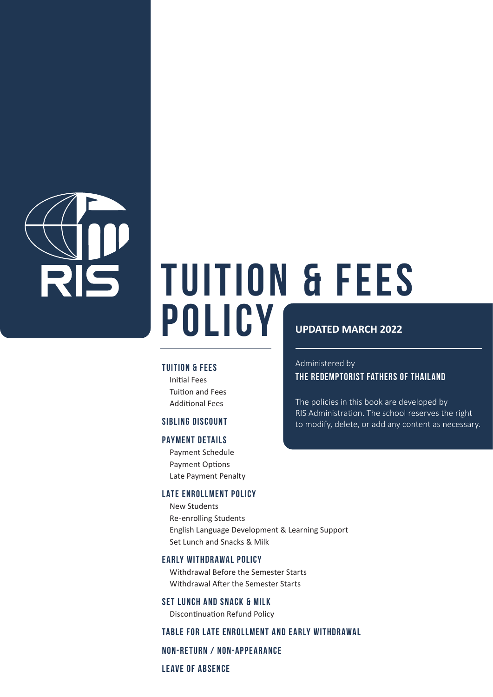

# **TUITION & FEES POLICY UPDATED MARCH 2022**

#### **TUITION & FEES**

 Initial Fees Tuition and Fees Additional Fees

#### **SIBLING DISCOUNT**

#### **PAYMENT DETAILS**

 Payment Schedule Payment Options Late Payment Penalty

#### **LATE ENROLLMENT POLICY**

 New Students Re-enrolling Students English Language Development & Learning Support Set Lunch and Snacks & Milk

#### **EARLY WITHDRAWAL POLICY**

 Withdrawal Before the Semester Starts Withdrawal After the Semester Starts

**Set Lunch and Snack & Milk** Discontinuation Refund Policy

#### **Table for Late Enrollment and Early Withdrawal**

**NON-RETURN / NON-APPEARANCE** 

**Leave of Absence**

Administered by THE REDEMPTORIST FATHERS OF THAILAND

The policies in this book are developed by RIS Administration. The school reserves the right to modify, delete, or add any content as necessary.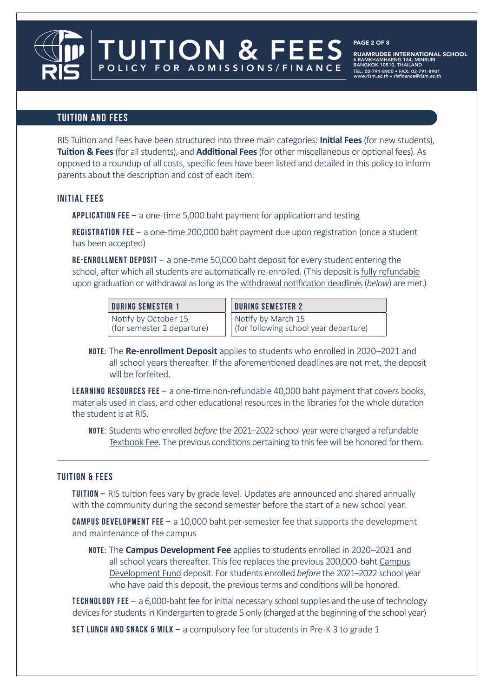## **TUITION AND FEES**

RIS Tuition and Fees have been structured into three main categories: **Initial Fees** (for new students), **Tuition & Fees** (for all students), and **Additional Fees** (for other miscellaneous or optional fees). As opposed to a roundup of all costs, specific fees have been listed and detailed in this policy to inform parents about the description and cost of each item:

#### **INITIAL FEES**

**APPLICATION FEE –** a one-time 5,000 baht payment for application and testing

TUITION & FEES

POLICY FOR ADMISSIONS/FINANCE

 **Registration Fee –** a one-time 200,000 baht payment due upon registration (once a student has been accepted)

**RE-ENROLLMENT DEPOSIT –** a one-time 50,000 baht deposit for every student entering the school, after which all students are automatically re-enrolled. (This deposit is fully refundable upon graduation or withdrawal as long as the withdrawal notification deadlines (*below*) are met.)

#### **DURING SEMESTER 1**

Notify by October 15 (for semester 2 departure) **DURING SEMESTER 2** Notify by March 15 (for following school year departure)

 **NOTE:** The **Re-enrollment Deposit** applies to students who enrolled in 2020–2021 and all school years thereafter. If the aforementioned deadlines are not met, the deposit will be forfeited.

 **Learning Resources Fee –** a one-time non-refundable 40,000 baht payment that covers books, materials used in class, and other educational resources in the libraries for the whole duration the student is at RIS.

 **NOTE:** Students who enrolled *before* the 2021–2022 school year were charged a refundable Textbook Fee. The previous conditions pertaining to this fee will be honored for them.

#### **TUITION & FEES**

 **TUITION –** RIS tuition fees vary by grade level. Updates are announced and shared annually with the community during the second semester before the start of a new school year.

 **CAMPUS DEVELOPMENT Fee –** a 10,000 baht per-semester fee that supports the development and maintenance of the campus

 **NOTE:** The **Campus Development Fee** applies to students enrolled in 2020–2021 and all school years thereafter. This fee replaces the previous 200,000-baht Campus Development Fund deposit. For students enrolled *before* the 2021–2022 school year who have paid this deposit, the previous terms and conditions will be honored.

**TECHNOLOGY FEE –** a 6,000-baht fee for initial necessary school supplies and the use of technology devices for students in Kindergarten to grade 5 only (charged at the beginning of the school year)

**Set Lunch and Snack & Milk –** a compulsory fee for students in Pre-K 3 to grade 1

#### PAGE 2 OF 8

**RUAMRUDEE INTERNATIONAL SCHOOL**<br>6 RAMKHAMHAENG 184. MINBURI 6 RAMKHAMHAENG 184, MINBURI BANGKOK 10510, THAILAND TEL: 02-791-8900 • FAX: 02-791-8901 www.rism.ac.th • risfinance@rism.ac.th

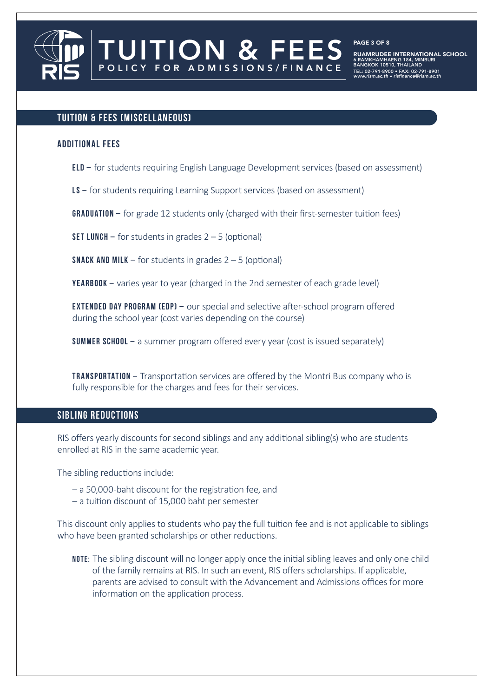

PAGE 3 OF 8

**RUAMRUDEE INTERNATIONAL SCHOOL**<br>6 RAMKHAMHAENG 184, MINBURI 6 RAMKHAMHAENG 184, MINBURI BANGKOK 10510, THAILAND TEL: 02-791-8900 • FAX: 02-791-8901 www.rism.ac.th • risfinance@rism.ac.th

#### **TUITION & FEES (MISCELLANEOUS)**

#### **ADDITIONAL FEES**

**ELD –** for students requiring English Language Development services (based on assessment)

**LS** – for students requiring Learning Support services (based on assessment)

POLICY FOR ADMISSIONS/FINANCE

**GRADUATION –** for grade 12 students only (charged with their first-semester tuition fees)

**SET LUNCH –** for students in grades 2 – 5 (optional)

**SNACK AND MILK –** for students in grades 2 – 5 (optional)

**YEARBOOK –** varies year to year (charged in the 2nd semester of each grade level)

 **EXTENDED DAY PROGRAM (EDP) –** our special and selective after-school program offered during the school year (cost varies depending on the course)

**SUMMER SCHOOL –** a summer program offered every year (cost is issued separately)

 **TRANSPORTATION –** Transportation services are offered by the Montri Bus company who is fully responsible for the charges and fees for their services.

### **SIBLING REDUCTIONS**

RIS offers yearly discounts for second siblings and any additional sibling(s) who are students enrolled at RIS in the same academic year.

The sibling reductions include:

- a 50,000-baht discount for the registration fee, and
- a tuition discount of 15,000 baht per semester

This discount only applies to students who pay the full tuition fee and is not applicable to siblings who have been granted scholarships or other reductions.

 **NOTE:** The sibling discount will no longer apply once the initial sibling leaves and only one child of the family remains at RIS. In such an event, RIS offers scholarships. If applicable, parents are advised to consult with the Advancement and Admissions offices for more information on the application process.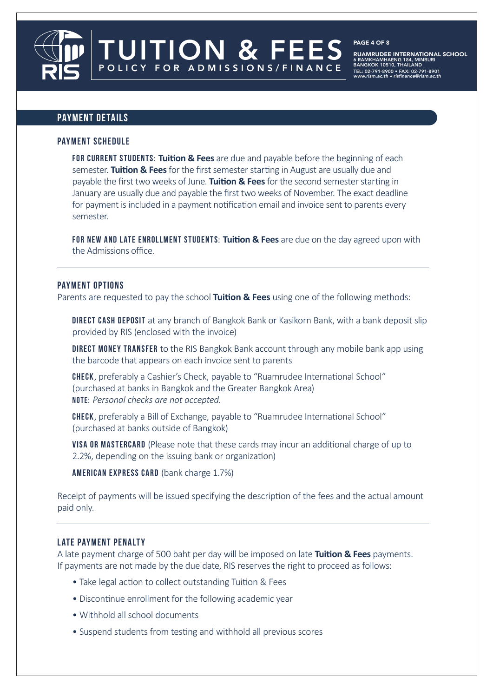**UITION & FEES** POLICY FOR ADMISSIONS/FINANCE

**RUAMRUDEE INTERNATIONAL SCHOOL**<br>6 RAMKHAMHAENG 184. MINBURI 6 RAMKHAMHAENG 184, MINBURI BANGKOK 10510, THAILAND TEL: 02-791-8900 • FAX: 02-791-8901 www.rism.ac.th • risfinance@rism.ac.th

PAGE 4 OF 8

### **PAYMENT DETAILS**

#### **PAYMENT SCHEDULE**

 **FOR CURRENT STUDENTS: Tuition & Fees** are due and payable before the beginning of each semester. **Tuition & Fees** for the first semester starting in August are usually due and payable the first two weeks of June. **Tuition & Fees** for the second semester starting in January are usually due and payable the first two weeks of November. The exact deadline for payment is included in a payment notification email and invoice sent to parents every semester.

 **For new and late enrollment students: Tuition & Fees** are due on the day agreed upon with the Admissions office.

#### **PAYMENT OPTIONS**

Parents are requested to pay the school **Tuition & Fees** using one of the following methods:

 **Direct Cash Deposit** at any branch of Bangkok Bank or Kasikorn Bank, with a bank deposit slip provided by RIS (enclosed with the invoice)

**DIRECT MONEY TRANSFER** to the RIS Bangkok Bank account through any mobile bank app using the barcode that appears on each invoice sent to parents

 **Check**, preferably a Cashier's Check, payable to "Ruamrudee International School" (purchased at banks in Bangkok and the Greater Bangkok Area) **NOTE:** *Personal checks are not accepted.*

 **Check**, preferably a Bill of Exchange, payable to "Ruamrudee International School" (purchased at banks outside of Bangkok)

 **VISA or Mastercard** (Please note that these cards may incur an additional charge of up to 2.2%, depending on the issuing bank or organization)

**American Express Card** (bank charge 1.7%)

Receipt of payments will be issued specifying the description of the fees and the actual amount paid only.

#### **LATE PAYMENT PENALTY**

A late payment charge of 500 baht per day will be imposed on late **Tuition & Fees** payments. If payments are not made by the due date, RIS reserves the right to proceed as follows:

- Take legal action to collect outstanding Tuition & Fees
- Discontinue enrollment for the following academic year
- Withhold all school documents
- Suspend students from testing and withhold all previous scores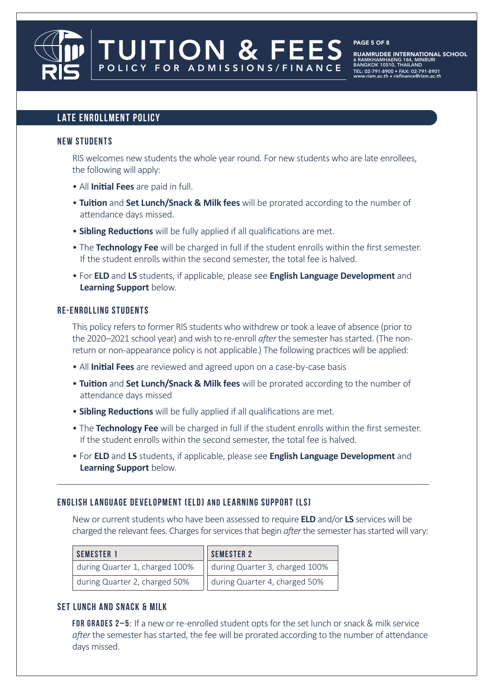## **UITION & FEES** POLICY FOR ADMISSIONS/FINANCE

PAGE 5 OF 8

**RUAMRUDEE INTERNATIONAL SCHOOL**<br>6 RAMKHAMHAENG 184. MINBURI 6 RAMKHAMHAENG 184, MINBURI BANGKOK 10510, THAILAND TEL: 02-791-8900 • FAX: 02-791-8901 www.rism.ac.th • risfinance@rism.ac.th

#### **LATE ENROLLMENT POLICY**

#### **NEW STUDENTS**

 RIS welcomes new students the whole year round. For new students who are late enrollees, the following will apply:

- All **Initial Fees** are paid in full.
- **Tuition** and **Set Lunch/Snack & Milk fees** will be prorated according to the number of attendance days missed.
- **Sibling Reductions** will be fully applied if all qualifications are met.
- The **Technology Fee** will be charged in full if the student enrolls within the first semester. If the student enrolls within the second semester, the total fee is halved.
- For **ELD** and **LS** students, if applicable, please see **English Language Development** and **Learning Support** below.

#### **RE-ENROLLING STUDENTS**

 This policy refers to former RIS students who withdrew or took a leave of absence (prior to the 2020–2021 school year) and wish to re-enroll *after* the semester has started. (The non return or non-appearance policy is not applicable.) The following practices will be applied:

- All **Initial Fees** are reviewed and agreed upon on a case-by-case basis
- **Tuition** and **Set Lunch/Snack & Milk fees** will be prorated according to the number of attendance days missed
- **Sibling Reductions** will be fully applied if all qualifications are met.
- The **Technology Fee** will be charged in full if the student enrolls within the first semester. If the student enrolls within the second semester, the total fee is halved.
- For **ELD** and **LS** students, if applicable, please see **English Language Development** and **Learning Support** below.

#### **English Language Development (ELD) and Learning Support (LS)**

 New or current students who have been assessed to require **ELD** and/or **LS** services will be charged the relevant fees. Charges for services that begin *after* the semester has started will vary:

| <b>SEMESTER 1</b>              | SEMESTER 2                     |  |  |
|--------------------------------|--------------------------------|--|--|
| during Quarter 1, charged 100% | during Quarter 3, charged 100% |  |  |
| during Quarter 2, charged 50%  | during Quarter 4, charged 50%  |  |  |

#### **Set Lunch and Snack & Milk**

 **FOR GRADES 2–5:** If a new or re-enrolled student opts for the set lunch or snack & milk service *after* the semester has started, the fee will be prorated according to the number of attendance days missed.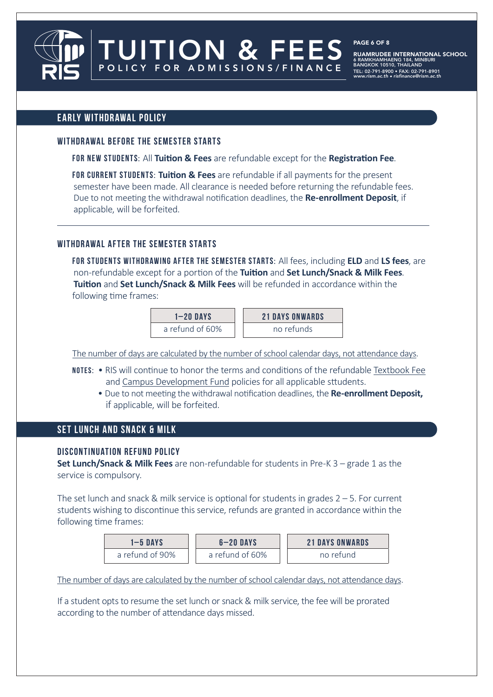TUITION & FEES POLICY FOR ADMISSIONS/FINANCE

RUAMRUDEE INTERNATIONAL SCHOOL 6 RAMKHAMHAENG 184, MINBURI BANGKOK 10510, THAILAND TEL: 02-791-8900 • FAX: 02-791-8901 www.rism.ac.th • risfinance@rism.ac.th

PAGE 6 OF 8

#### **EARLY WITHDRAWAL POLICY**

#### **WITHDRAWAL BEFORE THE SEMESTER STARTS**

**FOR NEW STUDENTS:** All **Tuition & Fees** are refundable except for the **Registration Fee**.

 **FOR CURRENT STUDENTS: Tuition & Fees** are refundable if all payments for the present semester have been made. All clearance is needed before returning the refundable fees. Due to not meeting the withdrawal notification deadlines, the **Re-enrollment Deposit**, if applicable, will be forfeited.

#### **WITHDRAWAL AFTER THE SEMESTER STARTS**

 **FOR students withdrawing after the semester starts:** All fees, including **ELD** and **LS fees**, are non-refundable except for a portion of the **Tuition** and **Set Lunch/Snack & Milk Fees**. **Tuition** and **Set Lunch/Snack & Milk Fees** will be refunded in accordance within the following time frames:

| $1 - 20$ DAYS   | <b>21 DAYS ONWARDS</b> |
|-----------------|------------------------|
| a refund of 60% | no refunds             |

The number of days are calculated by the number of school calendar days, not attendance days.

- **NOTES:**  RIS will continue to honor the terms and conditions of the refundable Textbook Fee and Campus Development Fund policies for all applicable sttudents.
	- Due to not meeting the withdrawal notification deadlines, the **Re-enrollment Deposit,** if applicable, will be forfeited.

#### **SET LUNCH AND SNACK & MILK**

#### **DISCONTINUATION REFUND POLICY**

**Set Lunch/Snack & Milk Fees** are non-refundable for students in Pre-K 3 – grade 1 as the service is compulsory.

The set lunch and snack & milk service is optional for students in grades  $2 - 5$ . For current students wishing to discontinue this service, refunds are granted in accordance within the following time frames:

| 1-5 DAYS        | $6 - 20$ DAYS   | <b>21 DAYS ONWARDS</b> |  |
|-----------------|-----------------|------------------------|--|
| a refund of 90% | a refund of 60% | no refund              |  |

The number of days are calculated by the number of school calendar days, not attendance days.

If a student opts to resume the set lunch or snack & milk service, the fee will be prorated according to the number of attendance days missed.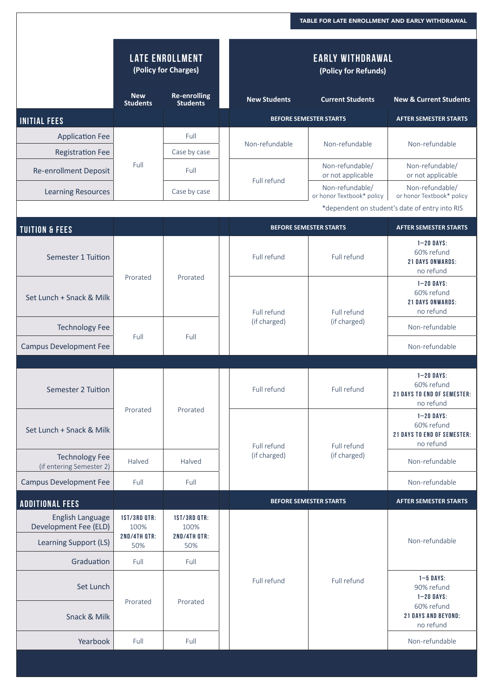|                                                                    |                                                    |                                                    |                                                               | TABLE FOR LATE ENROLLMENT AND EARLY WITHDRAWAL |                                                                                                        |  |
|--------------------------------------------------------------------|----------------------------------------------------|----------------------------------------------------|---------------------------------------------------------------|------------------------------------------------|--------------------------------------------------------------------------------------------------------|--|
|                                                                    | <b>LATE ENROLLMENT</b><br>(Policy for Charges)     |                                                    | <b>EARLY WITHDRAWAL</b><br>(Policy for Refunds)               |                                                |                                                                                                        |  |
|                                                                    | <b>New</b><br><b>Students</b>                      | <b>Re-enrolling</b><br><b>Students</b>             | <b>New Students</b>                                           | <b>Current Students</b>                        | <b>New &amp; Current Students</b>                                                                      |  |
| <b>INITIAL FEES</b>                                                |                                                    |                                                    |                                                               | <b>BEFORE SEMESTER STARTS</b>                  | <b>AFTER SEMESTER STARTS</b>                                                                           |  |
| <b>Application Fee</b>                                             |                                                    | Full                                               | Non-refundable<br>Full refund                                 | Non-refundable                                 | Non-refundable                                                                                         |  |
| <b>Registration Fee</b>                                            | Full                                               | Case by case                                       |                                                               |                                                |                                                                                                        |  |
| <b>Re-enrollment Deposit</b>                                       |                                                    | Full                                               |                                                               | Non-refundable/<br>or not applicable           | Non-refundable/<br>or not applicable                                                                   |  |
| <b>Learning Resources</b>                                          |                                                    | Case by case                                       |                                                               | Non-refundable/<br>or honor Textbook* policy   | Non-refundable/<br>or honor Textbook* policy                                                           |  |
|                                                                    |                                                    |                                                    |                                                               |                                                | *dependent on student's date of entry into RIS                                                         |  |
| <b>TUITION &amp; FEES</b>                                          |                                                    |                                                    |                                                               | <b>BEFORE SEMESTER STARTS</b>                  | <b>AFTER SEMESTER STARTS</b>                                                                           |  |
| Semester 1 Tuition                                                 | Prorated                                           | Prorated                                           | Full refund                                                   | Full refund                                    | $1 - 20$ DAYS:<br>60% refund<br><b>21 DAYS ONWARDS:</b><br>no refund                                   |  |
| Set Lunch + Snack & Milk                                           |                                                    |                                                    | Full refund<br>(if charged)                                   | Full refund<br>(if charged)                    | $1 - 20$ DAYS:<br>60% refund<br><b>21 DAYS ONWARDS:</b><br>no refund                                   |  |
| <b>Technology Fee</b>                                              |                                                    | Full                                               |                                                               |                                                | Non-refundable                                                                                         |  |
| <b>Campus Development Fee</b>                                      | Full                                               |                                                    |                                                               |                                                | Non-refundable                                                                                         |  |
|                                                                    |                                                    |                                                    |                                                               |                                                |                                                                                                        |  |
| <b>Semester 2 Tuition</b>                                          | Prorated                                           | Prorated<br>Halved<br>Halved                       | Full refund                                                   | Full refund                                    | $1 - 20$ DAYS:<br>60% refund<br><b>21 DAYS TO END OF SEMESTER:</b><br>no refund                        |  |
| Set Lunch + Snack & Milk                                           |                                                    |                                                    | Full refund                                                   | Full refund<br>(if charged)                    | $1 - 20$ DAYS:<br>60% refund<br><b>21 DAYS TO END OF SEMESTER:</b><br>no refund                        |  |
| <b>Technology Fee</b><br>(if entering Semester 2)                  |                                                    |                                                    | (if charged)                                                  |                                                | Non-refundable                                                                                         |  |
| <b>Campus Development Fee</b>                                      | Full                                               | Full                                               |                                                               |                                                | Non-refundable                                                                                         |  |
| <b>ADDITIONAL FEES</b>                                             |                                                    |                                                    | <b>BEFORE SEMESTER STARTS</b><br><b>AFTER SEMESTER STARTS</b> |                                                |                                                                                                        |  |
| English Language<br>Development Fee (ELD)<br>Learning Support (LS) | <b>1ST/3RD QTR:</b><br>100%<br>2ND/4TH QTR:<br>50% | <b>1ST/3RD QTR:</b><br>100%<br>2ND/4TH QTR:<br>50% |                                                               | Full refund                                    | Non-refundable                                                                                         |  |
| Graduation                                                         | Full                                               | Full                                               |                                                               |                                                |                                                                                                        |  |
| Set Lunch<br>Snack & Milk                                          | Prorated                                           | Prorated                                           | Full refund                                                   |                                                | $1 - 5$ DAYS:<br>90% refund<br>$1 - 20$ DAYS:<br>60% refund<br><b>21 DAYS AND BEYOND:</b><br>no refund |  |
| Yearbook                                                           | Full                                               | Full                                               |                                                               |                                                | Non-refundable                                                                                         |  |